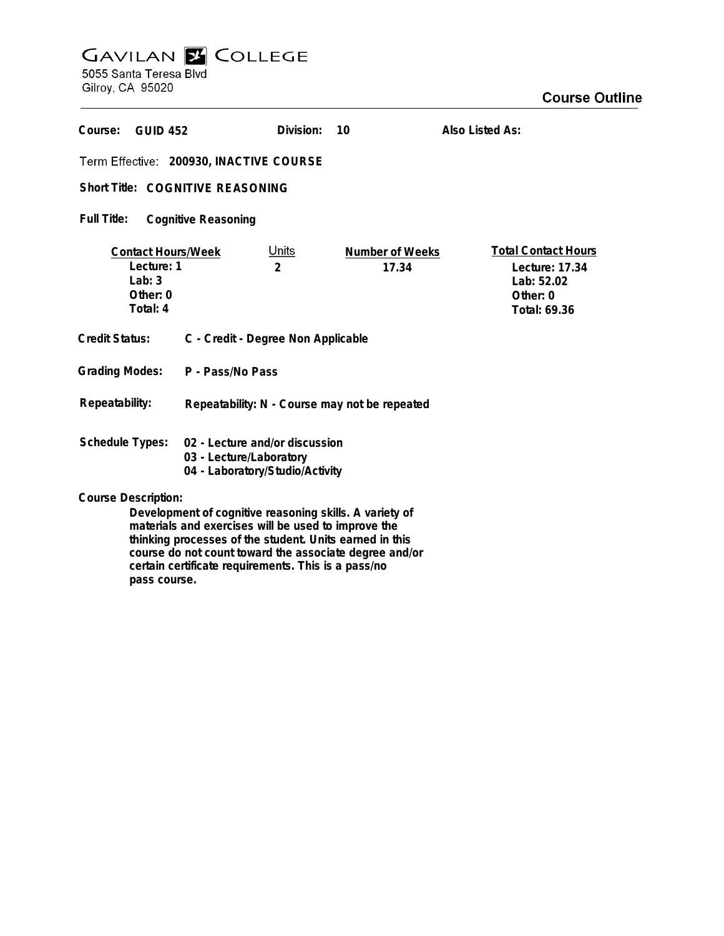## **GAVILAN E COLLEGE**<br>5055 Santa Teresa Blvd

Gilroy, CA 95020

| Course:<br><b>GUID 452</b>                                                                                     |                                                                                              | Division:                      | 10                       | Also Listed As:                                                                        |  |
|----------------------------------------------------------------------------------------------------------------|----------------------------------------------------------------------------------------------|--------------------------------|--------------------------|----------------------------------------------------------------------------------------|--|
| Term Effective: 200930, INACTIVE COURSE                                                                        |                                                                                              |                                |                          |                                                                                        |  |
| Short Title: COGNITIVE REASONING                                                                               |                                                                                              |                                |                          |                                                                                        |  |
| Full Title:<br><b>Cognitive Reasoning</b>                                                                      |                                                                                              |                                |                          |                                                                                        |  |
| <b>Contact Hours/Week</b><br>Lecture: 1<br>Lab: $3$<br>Other: 0<br>Total: 4                                    |                                                                                              | <u>Units</u><br>$\mathfrak{p}$ | Number of Weeks<br>17.34 | <b>Total Contact Hours</b><br>Lecture: 17.34<br>Lab: 52.02<br>Other: 0<br>Total: 69.36 |  |
| <b>Credit Status:</b>                                                                                          | C - Credit - Degree Non Applicable                                                           |                                |                          |                                                                                        |  |
| <b>Grading Modes:</b>                                                                                          | P - Pass/No Pass                                                                             |                                |                          |                                                                                        |  |
| Repeatability:                                                                                                 | Repeatability: N - Course may not be repeated                                                |                                |                          |                                                                                        |  |
| Schedule Types:                                                                                                | 02 - Lecture and/or discussion<br>03 - Lecture/Laboratory<br>04 - Laboratory/Studio/Activity |                                |                          |                                                                                        |  |
| <b>Course Description:</b>                                                                                     |                                                                                              |                                |                          |                                                                                        |  |
| Development of cognitive reasoning skills. A variety of<br>materials and evergises will be used to improve the |                                                                                              |                                |                          |                                                                                        |  |

**materials and exercises will be used to improve the thinking processes of the student. Units earned in this course do not count toward the associate degree and/or certain certificate requirements. This is a pass/no pass course.**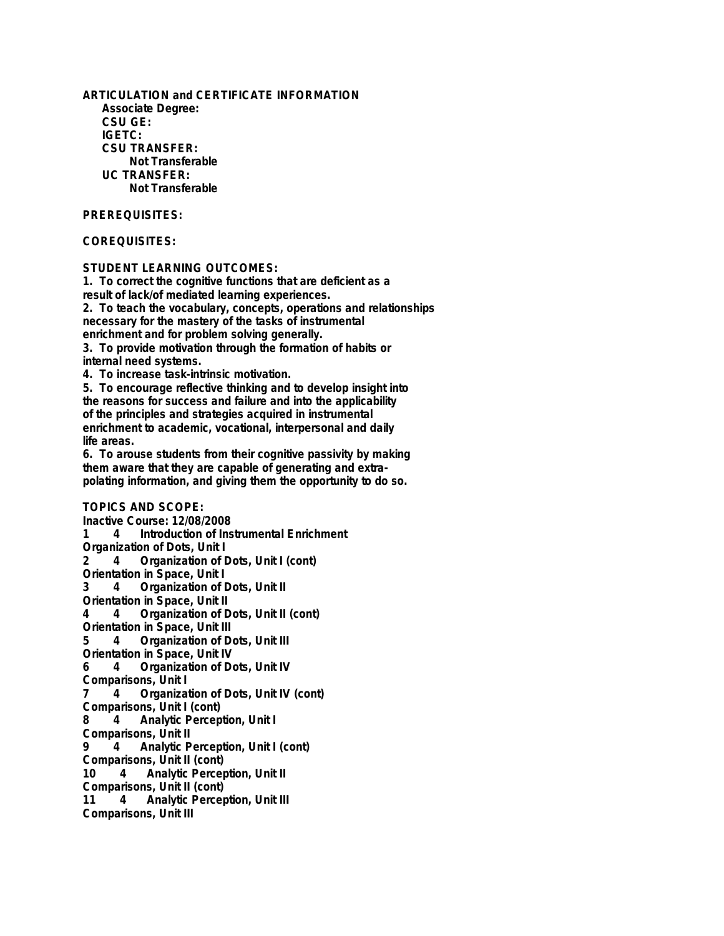**ARTICULATION and CERTIFICATE INFORMATION Associate Degree: CSU GE: IGETC: CSU TRANSFER: Not Transferable UC TRANSFER: Not Transferable**

## **PREREQUISITES:**

## **COREQUISITES:**

## **STUDENT LEARNING OUTCOMES:**

**1. To correct the cognitive functions that are deficient as a result of lack/of mediated learning experiences. 2. To teach the vocabulary, concepts, operations and relationships necessary for the mastery of the tasks of instrumental enrichment and for problem solving generally. 3. To provide motivation through the formation of habits or**

**internal need systems.**

**4. To increase task-intrinsic motivation.**

**5. To encourage reflective thinking and to develop insight into the reasons for success and failure and into the applicability of the principles and strategies acquired in instrumental enrichment to academic, vocational, interpersonal and daily life areas.**

**6. To arouse students from their cognitive passivity by making them aware that they are capable of generating and extrapolating information, and giving them the opportunity to do so.**

**TOPICS AND SCOPE: Inactive Course: 12/08/2008 1 4 Introduction of Instrumental Enrichment Organization of Dots, Unit I 2 4 Organization of Dots, Unit I (cont) Orientation in Space, Unit I 3 4 Organization of Dots, Unit II Orientation in Space, Unit II 4 4 Organization of Dots, Unit II (cont) Orientation in Space, Unit III 5 4 Organization of Dots, Unit III Orientation in Space, Unit IV 6 4 Organization of Dots, Unit IV Comparisons, Unit I 7 4 Organization of Dots, Unit IV (cont) Comparisons, Unit I (cont) 8 4 Analytic Perception, Unit I Comparisons, Unit II 9 4 Analytic Perception, Unit I (cont) Comparisons, Unit II (cont) 10 4 Analytic Perception, Unit II Comparisons, Unit II (cont) 11 4 Analytic Perception, Unit III Comparisons, Unit III**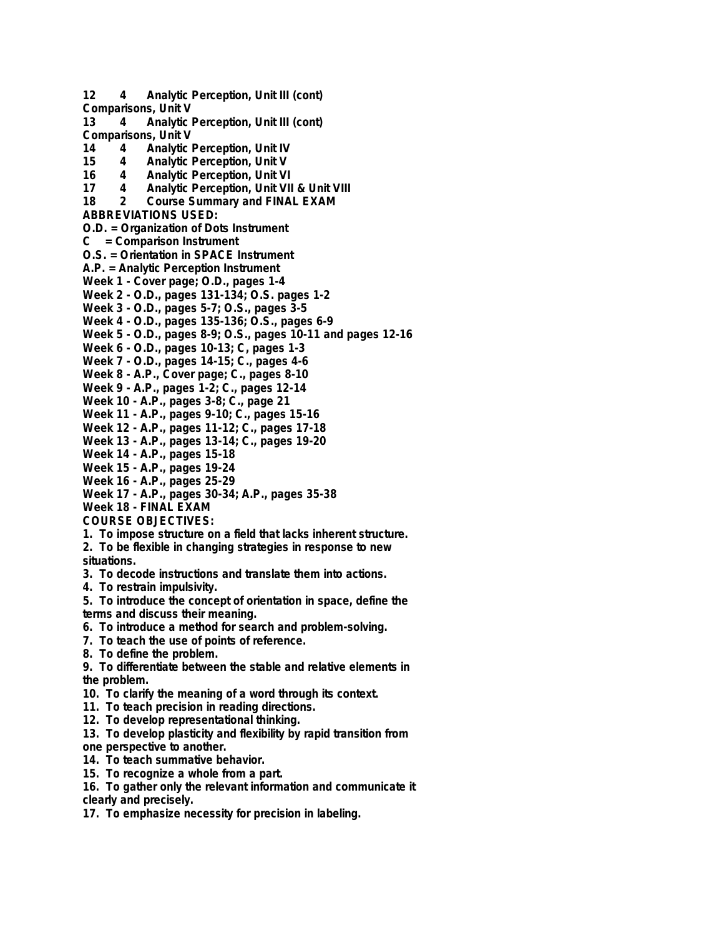**12 4 Analytic Perception, Unit III (cont) Comparisons, Unit V 13 4 Analytic Perception, Unit III (cont) Comparisons, Unit V 14 4 Analytic Perception, Unit IV 15 4 Analytic Perception, Unit V 16 4 Analytic Perception, Unit VI 17 4 Analytic Perception, Unit VII & Unit VIII 18 2 Course Summary and FINAL EXAM ABBREVIATIONS USED: O.D. = Organization of Dots Instrument C = Comparison Instrument O.S. = Orientation in SPACE Instrument A.P. = Analytic Perception Instrument Week 1 - Cover page; O.D., pages 1-4 Week 2 - O.D., pages 131-134; O.S. pages 1-2 Week 3 - O.D., pages 5-7; O.S., pages 3-5 Week 4 - O.D., pages 135-136; O.S., pages 6-9 Week 5 - O.D., pages 8-9; O.S., pages 10-11 and pages 12-16 Week 6 - O.D., pages 10-13; C, pages 1-3 Week 7 - O.D., pages 14-15; C., pages 4-6 Week 8 - A.P., Cover page; C., pages 8-10 Week 9 - A.P., pages 1-2; C., pages 12-14 Week 10 - A.P., pages 3-8; C., page 21 Week 11 - A.P., pages 9-10; C., pages 15-16 Week 12 - A.P., pages 11-12; C., pages 17-18 Week 13 - A.P., pages 13-14; C., pages 19-20 Week 14 - A.P., pages 15-18 Week 15 - A.P., pages 19-24 Week 16 - A.P., pages 25-29 Week 17 - A.P., pages 30-34; A.P., pages 35-38 Week 18 - FINAL EXAM COURSE OBJECTIVES: 1. To impose structure on a field that lacks inherent structure. 2. To be flexible in changing strategies in response to new situations. 3. To decode instructions and translate them into actions. 4. To restrain impulsivity. 5. To introduce the concept of orientation in space, define the terms and discuss their meaning. 6. To introduce a method for search and problem-solving. 7. To teach the use of points of reference. 8. To define the problem. 9. To differentiate between the stable and relative elements in the problem.**

- **10. To clarify the meaning of a word through its context.**
- **11. To teach precision in reading directions.**
- **12. To develop representational thinking.**
- **13. To develop plasticity and flexibility by rapid transition from one perspective to another.**
- **14. To teach summative behavior.**
- **15. To recognize a whole from a part.**
- **16. To gather only the relevant information and communicate it clearly and precisely.**
- **17. To emphasize necessity for precision in labeling.**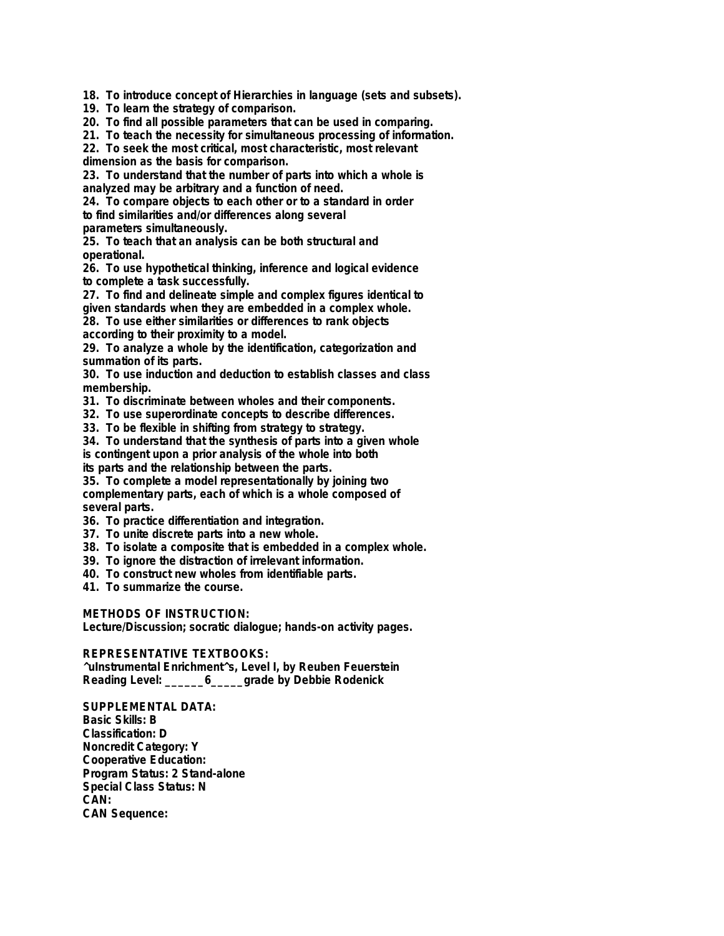**18. To introduce concept of Hierarchies in language (sets and subsets).**

**19. To learn the strategy of comparison.**

**20. To find all possible parameters that can be used in comparing.**

**21. To teach the necessity for simultaneous processing of information.**

**22. To seek the most critical, most characteristic, most relevant**

**dimension as the basis for comparison.**

**23. To understand that the number of parts into which a whole is analyzed may be arbitrary and a function of need.**

**24. To compare objects to each other or to a standard in order to find similarities and/or differences along several parameters simultaneously.**

**25. To teach that an analysis can be both structural and operational.**

**26. To use hypothetical thinking, inference and logical evidence to complete a task successfully.**

**27. To find and delineate simple and complex figures identical to given standards when they are embedded in a complex whole.**

**28. To use either similarities or differences to rank objects according to their proximity to a model.**

**29. To analyze a whole by the identification, categorization and summation of its parts.**

**30. To use induction and deduction to establish classes and class membership.**

**31. To discriminate between wholes and their components.**

**32. To use superordinate concepts to describe differences.**

**33. To be flexible in shifting from strategy to strategy.**

**34. To understand that the synthesis of parts into a given whole is contingent upon a prior analysis of the whole into both**

**its parts and the relationship between the parts.**

**35. To complete a model representationally by joining two complementary parts, each of which is a whole composed of several parts.**

**36. To practice differentiation and integration.**

**37. To unite discrete parts into a new whole.**

**38. To isolate a composite that is embedded in a complex whole.**

- **39. To ignore the distraction of irrelevant information.**
- **40. To construct new wholes from identifiable parts.**

**41. To summarize the course.**

**METHODS OF INSTRUCTION:**

**Lecture/Discussion; socratic dialogue; hands-on activity pages.**

**REPRESENTATIVE TEXTBOOKS:**

**^uInstrumental Enrichment^s, Level I, by Reuben Feuerstein Reading Level: \_\_\_\_\_\_6\_\_\_\_\_grade by Debbie Rodenick**

**SUPPLEMENTAL DATA: Basic Skills: B Classification: D Noncredit Category: Y Cooperative Education: Program Status: 2 Stand-alone Special Class Status: N CAN: CAN Sequence:**